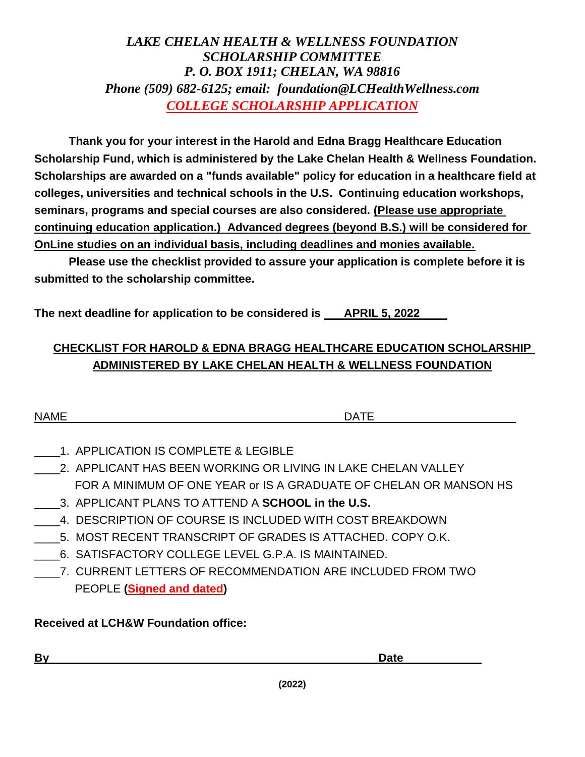## *LAKE CHELAN HEALTH & WELLNESS FOUNDATION SCHOLARSHIP COMMITTEE P. O. BOX 1911; CHELAN, WA 98816 Phone (509) 682-6125; email: foundation@LCHealthWellness.com COLLEGE SCHOLARSHIP APPLICATION*

**Thank you for your interest in the Harold and Edna Bragg Healthcare Education Scholarship Fund, which is administered by the Lake Chelan Health & Wellness Foundation. Scholarships are awarded on a "funds available" policy for education in a healthcare field at colleges, universities and technical schools in the U.S. Continuing education workshops, seminars, programs and special courses are also considered. (Please use appropriate continuing education application.) Advanced degrees (beyond B.S.) will be considered for OnLine studies on an individual basis, including deadlines and monies available.**

**Please use the checklist provided to assure your application is complete before it is submitted to the scholarship committee.**

**The next deadline for application to be considered is APRIL 5, 2022**

# **CHECKLIST FOR HAROLD & EDNA BRAGG HEALTHCARE EDUCATION SCHOLARSHIP ADMINISTERED BY LAKE CHELAN HEALTH & WELLNESS FOUNDATION**

| <b>NAME</b> | -- |
|-------------|----|
|-------------|----|

- \_\_\_\_1. APPLICATION IS COMPLETE & LEGIBLE
- 2. APPLICANT HAS BEEN WORKING OR LIVING IN LAKE CHELAN VALLEY FOR A MINIMUM OF ONE YEAR or IS A GRADUATE OF CHELAN OR MANSON HS
- \_\_\_\_3. APPLICANT PLANS TO ATTEND A **SCHOOL in the U.S.**
- 4. DESCRIPTION OF COURSE IS INCLUDED WITH COST BREAKDOWN
- \_\_\_\_5. MOST RECENT TRANSCRIPT OF GRADES IS ATTACHED. COPY O.K.
- \_\_\_\_6. SATISFACTORY COLLEGE LEVEL G.P.A. IS MAINTAINED.
- \_\_\_\_7. CURRENT LETTERS OF RECOMMENDATION ARE INCLUDED FROM TWO PEOPLE **(Signed and dated)**

**Received at LCH&W Foundation office:**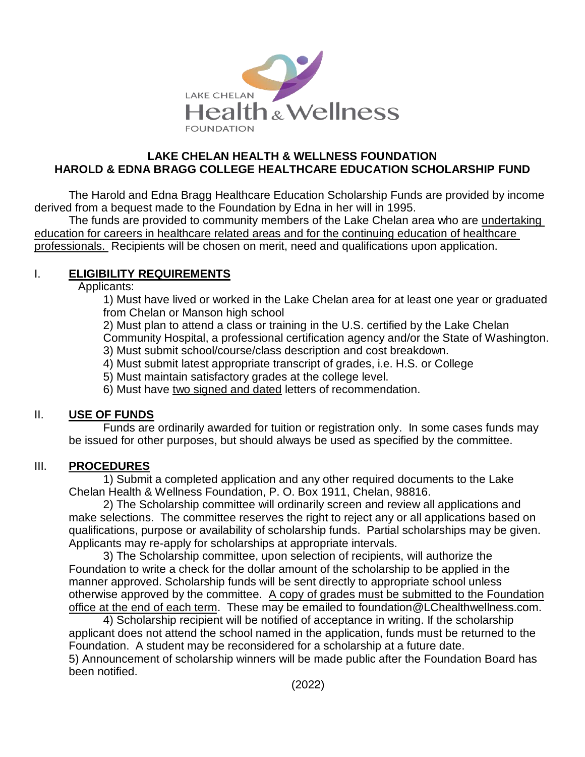

#### **LAKE CHELAN HEALTH & WELLNESS FOUNDATION HAROLD & EDNA BRAGG COLLEGE HEALTHCARE EDUCATION SCHOLARSHIP FUND**

The Harold and Edna Bragg Healthcare Education Scholarship Funds are provided by income derived from a bequest made to the Foundation by Edna in her will in 1995.

The funds are provided to community members of the Lake Chelan area who are undertaking education for careers in healthcare related areas and for the continuing education of healthcare professionals. Recipients will be chosen on merit, need and qualifications upon application.

## I. **ELIGIBILITY REQUIREMENTS**

Applicants:

1) Must have lived or worked in the Lake Chelan area for at least one year or graduated from Chelan or Manson high school

2) Must plan to attend a class or training in the U.S. certified by the Lake Chelan Community Hospital, a professional certification agency and/or the State of Washington.

3) Must submit school/course/class description and cost breakdown.

4) Must submit latest appropriate transcript of grades, i.e. H.S. or College

5) Must maintain satisfactory grades at the college level.

6) Must have two signed and dated letters of recommendation.

### II. **USE OF FUNDS**

Funds are ordinarily awarded for tuition or registration only. In some cases funds may be issued for other purposes, but should always be used as specified by the committee.

### III. **PROCEDURES**

1) Submit a completed application and any other required documents to the Lake Chelan Health & Wellness Foundation, P. O. Box 1911, Chelan, 98816.

2) The Scholarship committee will ordinarily screen and review all applications and make selections. The committee reserves the right to reject any or all applications based on qualifications, purpose or availability of scholarship funds. Partial scholarships may be given. Applicants may re-apply for scholarships at appropriate intervals.

3) The Scholarship committee, upon selection of recipients, will authorize the Foundation to write a check for the dollar amount of the scholarship to be applied in the manner approved. Scholarship funds will be sent directly to appropriate school unless otherwise approved by the committee. A copy of grades must be submitted to the Foundation office at the end of each term. These may be emailed to foundation@LChealthwellness.com.

4) Scholarship recipient will be notified of acceptance in writing. If the scholarship applicant does not attend the school named in the application, funds must be returned to the Foundation. A student may be reconsidered for a scholarship at a future date. 5) Announcement of scholarship winners will be made public after the Foundation Board has been notified.

(2022)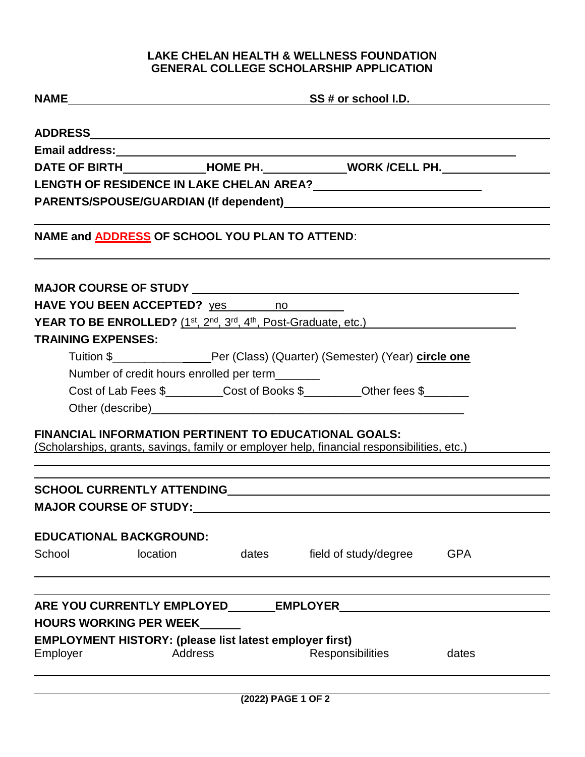## **LAKE CHELAN HEALTH & WELLNESS FOUNDATION GENERAL COLLEGE SCHOLARSHIP APPLICATION**

|                           |                                                                | $NAME$ SS # or school I.D.                                                                                                                                 |            |
|---------------------------|----------------------------------------------------------------|------------------------------------------------------------------------------------------------------------------------------------------------------------|------------|
|                           |                                                                |                                                                                                                                                            |            |
|                           |                                                                |                                                                                                                                                            |            |
|                           |                                                                | DATE OF BIRTH_______________HOME PH._______________WORK /CELL PH._______________                                                                           |            |
|                           |                                                                |                                                                                                                                                            |            |
|                           |                                                                |                                                                                                                                                            |            |
|                           | NAME and <b>ADDRESS</b> OF SCHOOL YOU PLAN TO ATTEND:          |                                                                                                                                                            |            |
|                           |                                                                |                                                                                                                                                            |            |
|                           | HAVE YOU BEEN ACCEPTED? yes no                                 |                                                                                                                                                            |            |
|                           |                                                                | <b>YEAR TO BE ENROLLED?</b> (1 <sup>st</sup> , 2 <sup>nd</sup> , 3 <sup>rd</sup> , 4 <sup>th</sup> , Post-Graduate, etc.)                                  |            |
| <b>TRAINING EXPENSES:</b> |                                                                |                                                                                                                                                            |            |
|                           |                                                                | Tuition \$__________________Per (Class) (Quarter) (Semester) (Year) circle one                                                                             |            |
|                           | Number of credit hours enrolled per term_______                |                                                                                                                                                            |            |
|                           |                                                                | Cost of Lab Fees \$_________Cost of Books \$_________Other fees \$______                                                                                   |            |
|                           |                                                                |                                                                                                                                                            |            |
|                           |                                                                | <b>FINANCIAL INFORMATION PERTINENT TO EDUCATIONAL GOALS:</b><br>(Scholarships, grants, savings, family or employer help, financial responsibilities, etc.) |            |
|                           |                                                                | ,我们也不会有什么。""我们的人,我们也不会有什么?""我们的人,我们也不会有什么?""我们的人,我们也不会有什么?""我们的人,我们也不会有什么?""我们的人                                                                           |            |
|                           | <b>MAJOR COURSE OF STUDY:</b>                                  |                                                                                                                                                            |            |
|                           | <b>EDUCATIONAL BACKGROUND:</b>                                 |                                                                                                                                                            |            |
| School                    | location                                                       |                                                                                                                                                            | <b>GPA</b> |
|                           |                                                                | dates field of study/degree                                                                                                                                |            |
|                           |                                                                |                                                                                                                                                            |            |
|                           |                                                                |                                                                                                                                                            |            |
|                           | <b>HOURS WORKING PER WEEK</b>                                  |                                                                                                                                                            |            |
|                           | <b>EMPLOYMENT HISTORY: (please list latest employer first)</b> |                                                                                                                                                            |            |
| Employer                  | <b>Address</b>                                                 | Responsibilities                                                                                                                                           | dates      |
|                           |                                                                |                                                                                                                                                            |            |